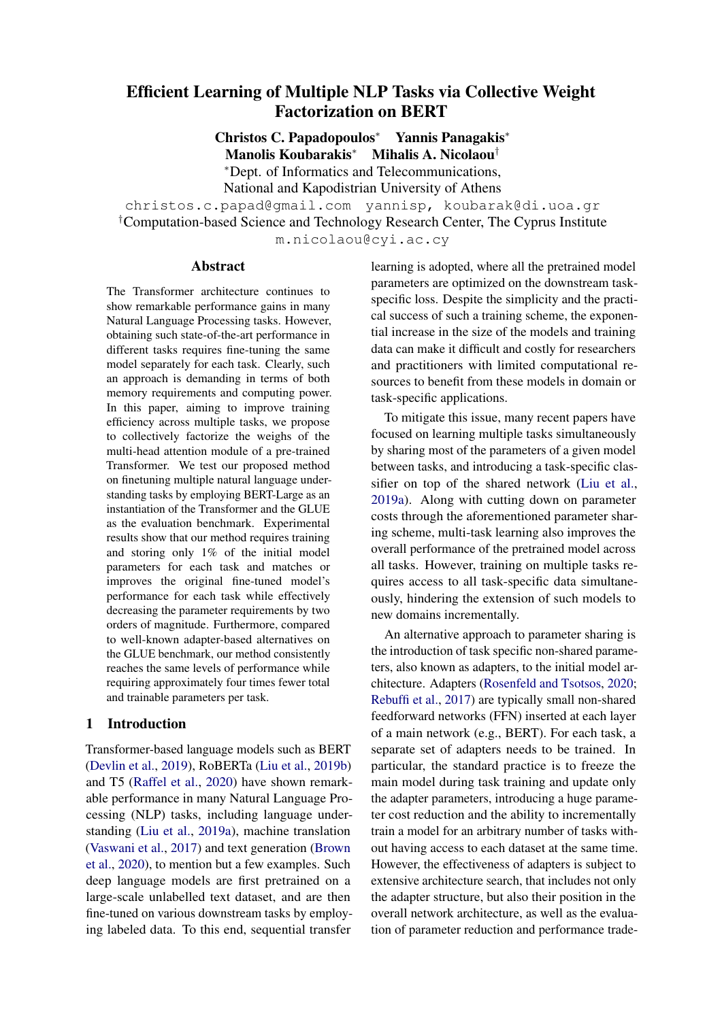# Efficient Learning of Multiple NLP Tasks via Collective Weight Factorization on BERT

Christos C. Papadopoulos<sup>∗</sup> Yannis Panagakis<sup>∗</sup>

Manolis Koubarakis<sup>∗</sup> Mihalis A. Nicolaou†

<sup>∗</sup>Dept. of Informatics and Telecommunications, National and Kapodistrian University of Athens

christos.c.papad@gmail.com yannisp, koubarak@di.uoa.gr

†Computation-based Science and Technology Research Center, The Cyprus Institute

m.nicolaou@cyi.ac.cy

## **Abstract**

The Transformer architecture continues to show remarkable performance gains in many Natural Language Processing tasks. However, obtaining such state-of-the-art performance in different tasks requires fine-tuning the same model separately for each task. Clearly, such an approach is demanding in terms of both memory requirements and computing power. In this paper, aiming to improve training efficiency across multiple tasks, we propose to collectively factorize the weighs of the multi-head attention module of a pre-trained Transformer. We test our proposed method on finetuning multiple natural language understanding tasks by employing BERT-Large as an instantiation of the Transformer and the GLUE as the evaluation benchmark. Experimental results show that our method requires training and storing only 1% of the initial model parameters for each task and matches or improves the original fine-tuned model's performance for each task while effectively decreasing the parameter requirements by two orders of magnitude. Furthermore, compared to well-known adapter-based alternatives on the GLUE benchmark, our method consistently reaches the same levels of performance while requiring approximately four times fewer total and trainable parameters per task.

# 1 Introduction

Transformer-based language models such as BERT [\(Devlin et al.,](#page-6-0) [2019\)](#page-6-0), RoBERTa [\(Liu et al.,](#page-7-0) [2019b\)](#page-7-0) and T5 [\(Raffel et al.,](#page-7-1) [2020\)](#page-7-1) have shown remarkable performance in many Natural Language Processing (NLP) tasks, including language understanding [\(Liu et al.,](#page-7-2) [2019a\)](#page-7-2), machine translation [\(Vaswani et al.,](#page-8-0) [2017\)](#page-8-0) and text generation [\(Brown](#page-6-1) [et al.,](#page-6-1) [2020\)](#page-6-1), to mention but a few examples. Such deep language models are first pretrained on a large-scale unlabelled text dataset, and are then fine-tuned on various downstream tasks by employing labeled data. To this end, sequential transfer learning is adopted, where all the pretrained model parameters are optimized on the downstream taskspecific loss. Despite the simplicity and the practical success of such a training scheme, the exponential increase in the size of the models and training data can make it difficult and costly for researchers and practitioners with limited computational resources to benefit from these models in domain or task-specific applications.

To mitigate this issue, many recent papers have focused on learning multiple tasks simultaneously by sharing most of the parameters of a given model between tasks, and introducing a task-specific classifier on top of the shared network [\(Liu et al.,](#page-7-2) [2019a\)](#page-7-2). Along with cutting down on parameter costs through the aforementioned parameter sharing scheme, multi-task learning also improves the overall performance of the pretrained model across all tasks. However, training on multiple tasks requires access to all task-specific data simultaneously, hindering the extension of such models to new domains incrementally.

An alternative approach to parameter sharing is the introduction of task specific non-shared parameters, also known as adapters, to the initial model architecture. Adapters [\(Rosenfeld and Tsotsos,](#page-7-3) [2020;](#page-7-3) [Rebuffi et al.,](#page-7-4) [2017\)](#page-7-4) are typically small non-shared feedforward networks (FFN) inserted at each layer of a main network (e.g., BERT). For each task, a separate set of adapters needs to be trained. In particular, the standard practice is to freeze the main model during task training and update only the adapter parameters, introducing a huge parameter cost reduction and the ability to incrementally train a model for an arbitrary number of tasks without having access to each dataset at the same time. However, the effectiveness of adapters is subject to extensive architecture search, that includes not only the adapter structure, but also their position in the overall network architecture, as well as the evaluation of parameter reduction and performance trade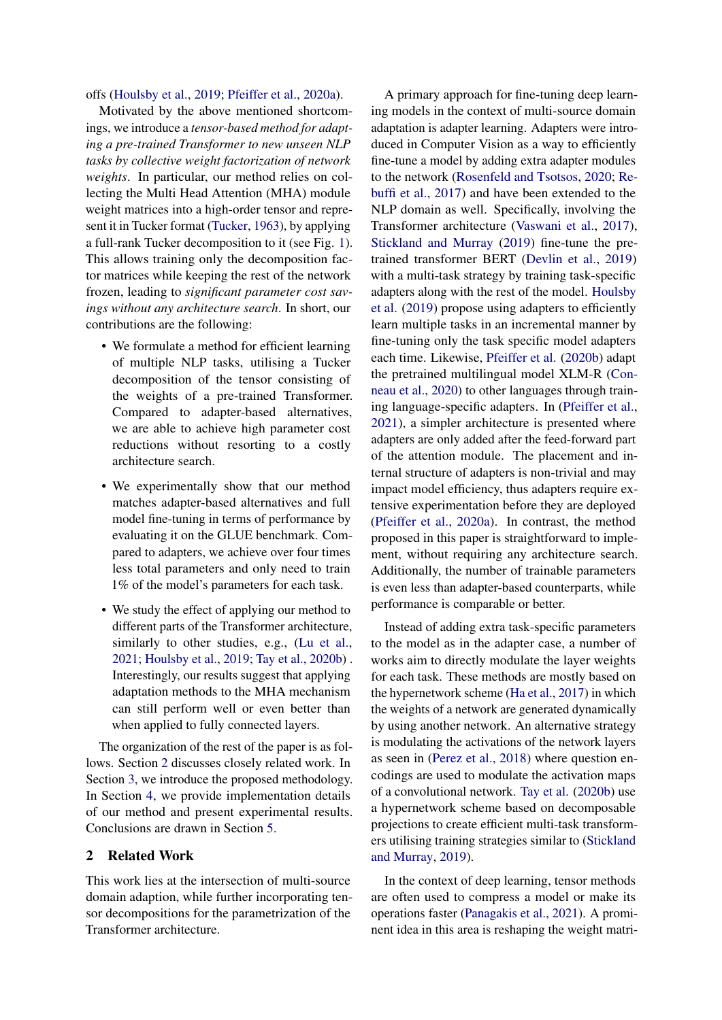offs [\(Houlsby et al.,](#page-6-2) [2019;](#page-6-2) [Pfeiffer et al.,](#page-7-5) [2020a\)](#page-7-5).

Motivated by the above mentioned shortcomings, we introduce a *tensor-based method for adapting a pre-trained Transformer to new unseen NLP tasks by collective weight factorization of network weights*. In particular, our method relies on collecting the Multi Head Attention (MHA) module weight matrices into a high-order tensor and represent it in Tucker format [\(Tucker,](#page-7-6) [1963\)](#page-7-6), by applying a full-rank Tucker decomposition to it (see Fig. [1\)](#page-3-0). This allows training only the decomposition factor matrices while keeping the rest of the network frozen, leading to *significant parameter cost savings without any architecture search*. In short, our contributions are the following:

- We formulate a method for efficient learning of multiple NLP tasks, utilising a Tucker decomposition of the tensor consisting of the weights of a pre-trained Transformer. Compared to adapter-based alternatives, we are able to achieve high parameter cost reductions without resorting to a costly architecture search.
- We experimentally show that our method matches adapter-based alternatives and full model fine-tuning in terms of performance by evaluating it on the GLUE benchmark. Compared to adapters, we achieve over four times less total parameters and only need to train 1% of the model's parameters for each task.
- We study the effect of applying our method to different parts of the Transformer architecture, similarly to other studies, e.g., [\(Lu et al.,](#page-7-7) [2021;](#page-7-7) [Houlsby et al.,](#page-6-2) [2019;](#page-6-2) [Tay et al.,](#page-7-8) [2020b\)](#page-7-8) . Interestingly, our results suggest that applying adaptation methods to the MHA mechanism can still perform well or even better than when applied to fully connected layers.

The organization of the rest of the paper is as follows. Section [2](#page-1-0) discusses closely related work. In Section [3,](#page-2-0) we introduce the proposed methodology. In Section [4,](#page-4-0) we provide implementation details of our method and present experimental results. Conclusions are drawn in Section [5.](#page-5-0)

# <span id="page-1-0"></span>2 Related Work

This work lies at the intersection of multi-source domain adaption, while further incorporating tensor decompositions for the parametrization of the Transformer architecture.

A primary approach for fine-tuning deep learning models in the context of multi-source domain adaptation is adapter learning. Adapters were introduced in Computer Vision as a way to efficiently fine-tune a model by adding extra adapter modules to the network [\(Rosenfeld and Tsotsos,](#page-7-3) [2020;](#page-7-3) [Re](#page-7-4)[buffi et al.,](#page-7-4) [2017\)](#page-7-4) and have been extended to the NLP domain as well. Specifically, involving the Transformer architecture [\(Vaswani et al.,](#page-8-0) [2017\)](#page-8-0), [Stickland and Murray](#page-7-9) [\(2019\)](#page-7-9) fine-tune the pretrained transformer BERT [\(Devlin et al.,](#page-6-0) [2019\)](#page-6-0) with a multi-task strategy by training task-specific adapters along with the rest of the model. [Houlsby](#page-6-2) [et al.](#page-6-2) [\(2019\)](#page-6-2) propose using adapters to efficiently learn multiple tasks in an incremental manner by fine-tuning only the task specific model adapters each time. Likewise, [Pfeiffer et al.](#page-7-10) [\(2020b\)](#page-7-10) adapt the pretrained multilingual model XLM-R [\(Con](#page-6-3)[neau et al.,](#page-6-3) [2020\)](#page-6-3) to other languages through training language-specific adapters. In [\(Pfeiffer et al.,](#page-7-11) [2021\)](#page-7-11), a simpler architecture is presented where adapters are only added after the feed-forward part of the attention module. The placement and internal structure of adapters is non-trivial and may impact model efficiency, thus adapters require extensive experimentation before they are deployed [\(Pfeiffer et al.,](#page-7-5) [2020a\)](#page-7-5). In contrast, the method proposed in this paper is straightforward to implement, without requiring any architecture search. Additionally, the number of trainable parameters is even less than adapter-based counterparts, while performance is comparable or better.

Instead of adding extra task-specific parameters to the model as in the adapter case, a number of works aim to directly modulate the layer weights for each task. These methods are mostly based on the hypernetwork scheme [\(Ha et al.,](#page-6-4) [2017\)](#page-6-4) in which the weights of a network are generated dynamically by using another network. An alternative strategy is modulating the activations of the network layers as seen in [\(Perez et al.,](#page-7-12) [2018\)](#page-7-12) where question encodings are used to modulate the activation maps of a convolutional network. [Tay et al.](#page-7-8) [\(2020b\)](#page-7-8) use a hypernetwork scheme based on decomposable projections to create efficient multi-task transformers utilising training strategies similar to [\(Stickland](#page-7-9) [and Murray,](#page-7-9) [2019\)](#page-7-9).

In the context of deep learning, tensor methods are often used to compress a model or make its operations faster [\(Panagakis et al.,](#page-7-13) [2021\)](#page-7-13). A prominent idea in this area is reshaping the weight matri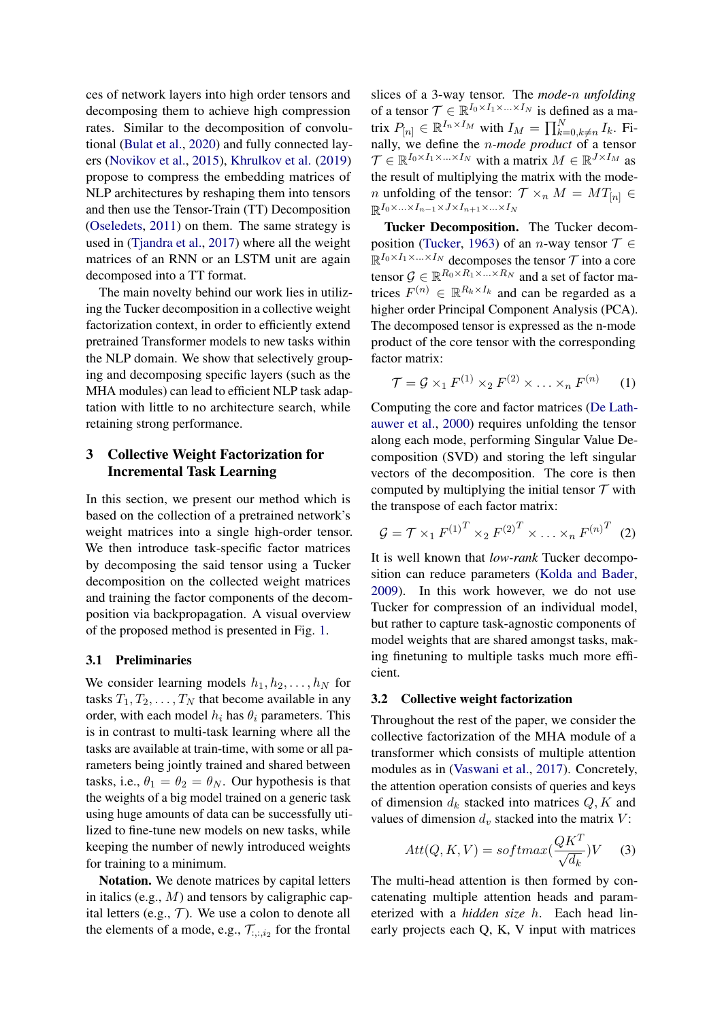ces of network layers into high order tensors and decomposing them to achieve high compression rates. Similar to the decomposition of convolutional [\(Bulat et al.,](#page-6-5) [2020\)](#page-6-5) and fully connected layers [\(Novikov et al.,](#page-7-14) [2015\)](#page-7-14), [Khrulkov et al.](#page-6-6) [\(2019\)](#page-6-6) propose to compress the embedding matrices of NLP architectures by reshaping them into tensors and then use the Tensor-Train (TT) Decomposition [\(Oseledets,](#page-7-15) [2011\)](#page-7-15) on them. The same strategy is used in [\(Tjandra et al.,](#page-7-16) [2017\)](#page-7-16) where all the weight matrices of an RNN or an LSTM unit are again decomposed into a TT format.

The main novelty behind our work lies in utilizing the Tucker decomposition in a collective weight factorization context, in order to efficiently extend pretrained Transformer models to new tasks within the NLP domain. We show that selectively grouping and decomposing specific layers (such as the MHA modules) can lead to efficient NLP task adaptation with little to no architecture search, while retaining strong performance.

# <span id="page-2-0"></span>3 Collective Weight Factorization for Incremental Task Learning

In this section, we present our method which is based on the collection of a pretrained network's weight matrices into a single high-order tensor. We then introduce task-specific factor matrices by decomposing the said tensor using a Tucker decomposition on the collected weight matrices and training the factor components of the decomposition via backpropagation. A visual overview of the proposed method is presented in Fig. [1.](#page-3-0)

## 3.1 Preliminaries

We consider learning models  $h_1, h_2, \ldots, h_N$  for tasks  $T_1, T_2, \ldots, T_N$  that become available in any order, with each model  $h_i$  has  $\theta_i$  parameters. This is in contrast to multi-task learning where all the tasks are available at train-time, with some or all parameters being jointly trained and shared between tasks, i.e.,  $\theta_1 = \theta_2 = \theta_N$ . Our hypothesis is that the weights of a big model trained on a generic task using huge amounts of data can be successfully utilized to fine-tune new models on new tasks, while keeping the number of newly introduced weights for training to a minimum.

Notation. We denote matrices by capital letters in italics (e.g.,  $M$ ) and tensors by caligraphic capital letters (e.g.,  $T$ ). We use a colon to denote all the elements of a mode, e.g.,  $\mathcal{T}_{:,:,i_2}$  for the frontal

slices of a 3-way tensor. The *mode-*n *unfolding* of a tensor  $\mathcal{T} \in \mathbb{R}^{I_0 \times I_1 \times \ldots \times I_N}$  is defined as a matrix  $P_{[n]} \in \mathbb{R}^{I_n \times I_M}$  with  $I_M = \prod_{k=0, k \neq n}^{N} I_k$ . Finally, we define the n*-mode product* of a tensor  $\mathcal{T} \in \mathbb{R}^{I_0 \times I_1 \times \ldots \times I_N}$  with a matrix  $M \in \mathbb{R}^{J \times I_M}$  as the result of multiplying the matrix with the mode*n* unfolding of the tensor:  $\mathcal{T} \times_n M = MT_{[n]} \in$  $\mathbb{R}^{I_0 \times \ldots \times I_{n-1} \times J \times I_{n+1} \times \ldots \times I_N}$ 

Tucker Decomposition. The Tucker decom-position [\(Tucker,](#page-7-6) [1963\)](#page-7-6) of an *n*-way tensor  $T \in$  $\mathbb{R}^{I_0 \times I_1 \times \ldots \times I_N}$  decomposes the tensor  $\mathcal T$  into a core tensor  $\mathcal{G} \in \mathbb{R}^{R_0 \times R_1 \times \ldots \times R_N}$  and a set of factor matrices  $F^{(n)} \in \mathbb{R}^{R_k \times I_k}$  and can be regarded as a higher order Principal Component Analysis (PCA). The decomposed tensor is expressed as the n-mode product of the core tensor with the corresponding factor matrix:

$$
\mathcal{T} = \mathcal{G} \times_1 F^{(1)} \times_2 F^{(2)} \times \ldots \times_n F^{(n)} \qquad (1)
$$

Computing the core and factor matrices [\(De Lath](#page-6-7)[auwer et al.,](#page-6-7) [2000\)](#page-6-7) requires unfolding the tensor along each mode, performing Singular Value Decomposition (SVD) and storing the left singular vectors of the decomposition. The core is then computed by multiplying the initial tensor  $T$  with the transpose of each factor matrix:

$$
G = \mathcal{T} \times_1 F^{(1)^T} \times_2 F^{(2)^T} \times \ldots \times_n F^{(n)^T} \tag{2}
$$

It is well known that *low-rank* Tucker decomposition can reduce parameters [\(Kolda and Bader,](#page-6-8) [2009\)](#page-6-8). In this work however, we do not use Tucker for compression of an individual model, but rather to capture task-agnostic components of model weights that are shared amongst tasks, making finetuning to multiple tasks much more efficient.

### 3.2 Collective weight factorization

Throughout the rest of the paper, we consider the collective factorization of the MHA module of a transformer which consists of multiple attention modules as in [\(Vaswani et al.,](#page-8-0) [2017\)](#page-8-0). Concretely, the attention operation consists of queries and keys of dimension  $d_k$  stacked into matrices  $Q, K$  and values of dimension  $d_v$  stacked into the matrix  $V$ :

$$
Att(Q, K, V) = softmax(\frac{QK^T}{\sqrt{d_k}})V \quad (3)
$$

The multi-head attention is then formed by concatenating multiple attention heads and parameterized with a *hidden size* h. Each head linearly projects each Q, K, V input with matrices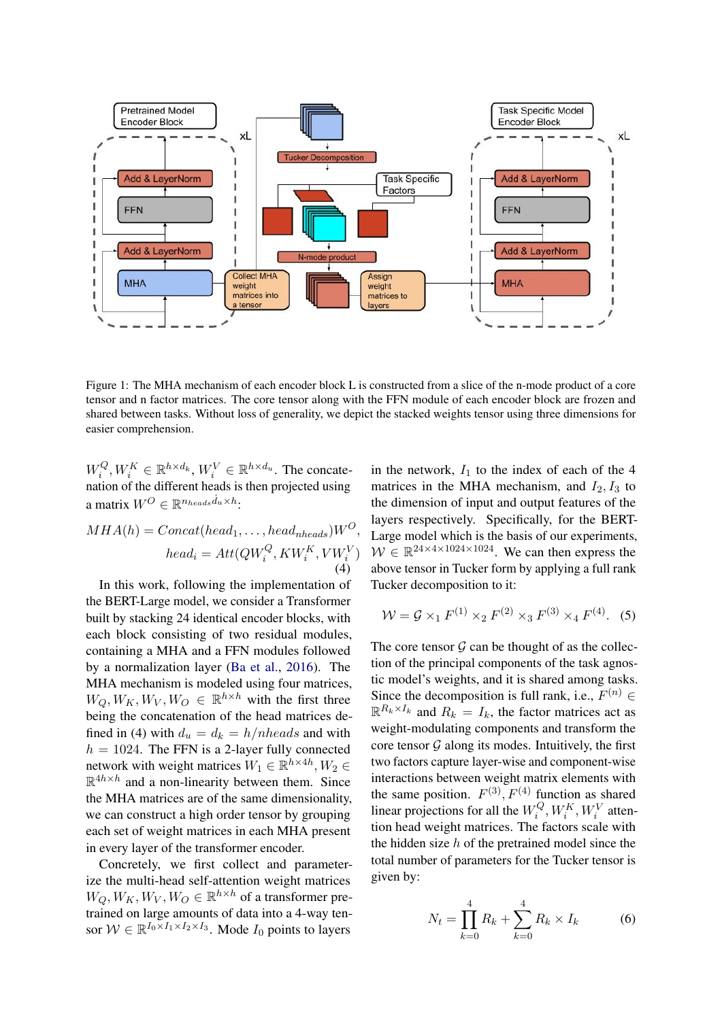<span id="page-3-0"></span>

Figure 1: The MHA mechanism of each encoder block L is constructed from a slice of the n-mode product of a core tensor and n factor matrices. The core tensor along with the FFN module of each encoder block are frozen and shared between tasks. Without loss of generality, we depict the stacked weights tensor using three dimensions for easier comprehension.

 $W_i^Q$  $i^{Q}, W_{i}^{K} \in \mathbb{R}^{h \times d_{k}}, W_{i}^{V} \in \mathbb{R}^{h \times d_{u}}$ . The concatenation of the different heads is then projected using a matrix  $W^O \in \mathbb{R}^{n_{heads}d_u \times h}$ :

$$
MHA(h) = Concat(head_1, ..., head_{nheads})W^O,
$$
  
\n
$$
head_i = Att(QW_i^Q, KW_i^K, VW_i^V)
$$
  
\n(4)

In this work, following the implementation of the BERT-Large model, we consider a Transformer built by stacking 24 identical encoder blocks, with each block consisting of two residual modules, containing a MHA and a FFN modules followed by a normalization layer [\(Ba et al.,](#page-6-9) [2016\)](#page-6-9). The MHA mechanism is modeled using four matrices,  $W_Q, W_K, W_V, W_O \in \mathbb{R}^{h \times h}$  with the first three being the concatenation of the head matrices defined in (4) with  $d_u = d_k = h/nheads$  and with  $h = 1024$ . The FFN is a 2-layer fully connected network with weight matrices  $W_1 \in \mathbb{R}^{h \times 4h}, W_2 \in$  $\mathbb{R}^{4h \times h}$  and a non-linearity between them. Since the MHA matrices are of the same dimensionality, we can construct a high order tensor by grouping each set of weight matrices in each MHA present in every layer of the transformer encoder.

Concretely, we first collect and parameterize the multi-head self-attention weight matrices  $W_Q, W_K, W_V, W_O \in \mathbb{R}^{h \times h}$  of a transformer pretrained on large amounts of data into a 4-way tensor  $W \in \mathbb{R}^{I_0 \times I_1 \times I_2 \times I_3}$ . Mode  $I_0$  points to layers

in the network,  $I_1$  to the index of each of the 4 matrices in the MHA mechanism, and  $I_2$ ,  $I_3$  to the dimension of input and output features of the layers respectively. Specifically, for the BERT-Large model which is the basis of our experiments,  $W \in \mathbb{R}^{24 \times 4 \times 1024 \times 1024}$ . We can then express the above tensor in Tucker form by applying a full rank Tucker decomposition to it:

$$
W = \mathcal{G} \times_1 F^{(1)} \times_2 F^{(2)} \times_3 F^{(3)} \times_4 F^{(4)}.
$$
 (5)

The core tensor  $\mathcal G$  can be thought of as the collection of the principal components of the task agnostic model's weights, and it is shared among tasks. Since the decomposition is full rank, i.e.,  $F^{(n)}$   $\in$  $\mathbb{R}^{R_k \times I_k}$  and  $R_k = I_k$ , the factor matrices act as weight-modulating components and transform the core tensor  $G$  along its modes. Intuitively, the first two factors capture layer-wise and component-wise interactions between weight matrix elements with the same position.  $F^{(3)}$ ,  $F^{(4)}$  function as shared linear projections for all the  $W_i^Q$  $W_i^Q, W_i^K, W_i^V$  attention head weight matrices. The factors scale with the hidden size  $h$  of the pretrained model since the total number of parameters for the Tucker tensor is given by:

$$
N_t = \prod_{k=0}^{4} R_k + \sum_{k=0}^{4} R_k \times I_k
$$
 (6)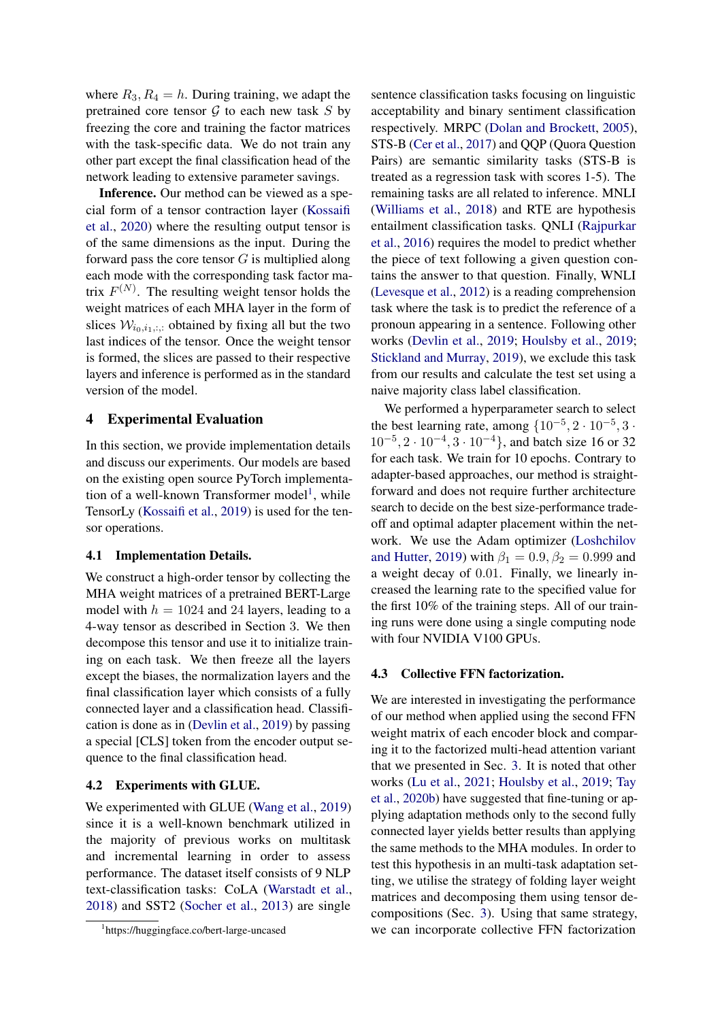where  $R_3, R_4 = h$ . During training, we adapt the pretrained core tensor  $G$  to each new task  $S$  by freezing the core and training the factor matrices with the task-specific data. We do not train any other part except the final classification head of the network leading to extensive parameter savings.

Inference. Our method can be viewed as a special form of a tensor contraction layer [\(Kossaifi](#page-7-17) [et al.,](#page-7-17) [2020\)](#page-7-17) where the resulting output tensor is of the same dimensions as the input. During the forward pass the core tensor  $G$  is multiplied along each mode with the corresponding task factor matrix  $F^{(N)}$ . The resulting weight tensor holds the weight matrices of each MHA layer in the form of slices  $W_{i_0,i_1,..}$  obtained by fixing all but the two last indices of the tensor. Once the weight tensor is formed, the slices are passed to their respective layers and inference is performed as in the standard version of the model.

# <span id="page-4-0"></span>4 Experimental Evaluation

In this section, we provide implementation details and discuss our experiments. Our models are based on the existing open source PyTorch implementa-tion of a well-known Transformer model<sup>[1](#page-4-1)</sup>, while TensorLy [\(Kossaifi et al.,](#page-7-18) [2019\)](#page-7-18) is used for the tensor operations.

#### 4.1 Implementation Details.

We construct a high-order tensor by collecting the MHA weight matrices of a pretrained BERT-Large model with  $h = 1024$  and 24 layers, leading to a 4-way tensor as described in Section 3. We then decompose this tensor and use it to initialize training on each task. We then freeze all the layers except the biases, the normalization layers and the final classification layer which consists of a fully connected layer and a classification head. Classification is done as in [\(Devlin et al.,](#page-6-0) [2019\)](#page-6-0) by passing a special [CLS] token from the encoder output sequence to the final classification head.

### <span id="page-4-2"></span>4.2 Experiments with GLUE.

We experimented with GLUE [\(Wang et al.,](#page-8-1) [2019\)](#page-8-1) since it is a well-known benchmark utilized in the majority of previous works on multitask and incremental learning in order to assess performance. The dataset itself consists of 9 NLP text-classification tasks: CoLA [\(Warstadt et al.,](#page-8-2) [2018\)](#page-8-2) and SST2 [\(Socher et al.,](#page-7-19) [2013\)](#page-7-19) are single sentence classification tasks focusing on linguistic acceptability and binary sentiment classification respectively. MRPC [\(Dolan and Brockett,](#page-6-10) [2005\)](#page-6-10), STS-B [\(Cer et al.,](#page-6-11) [2017\)](#page-6-11) and QQP (Quora Question Pairs) are semantic similarity tasks (STS-B is treated as a regression task with scores 1-5). The remaining tasks are all related to inference. MNLI [\(Williams et al.,](#page-8-3) [2018\)](#page-8-3) and RTE are hypothesis entailment classification tasks. QNLI [\(Rajpurkar](#page-7-20) [et al.,](#page-7-20) [2016\)](#page-7-20) requires the model to predict whether the piece of text following a given question contains the answer to that question. Finally, WNLI [\(Levesque et al.,](#page-7-21) [2012\)](#page-7-21) is a reading comprehension task where the task is to predict the reference of a pronoun appearing in a sentence. Following other works [\(Devlin et al.,](#page-6-0) [2019;](#page-6-0) [Houlsby et al.,](#page-6-2) [2019;](#page-6-2) [Stickland and Murray,](#page-7-9) [2019\)](#page-7-9), we exclude this task from our results and calculate the test set using a naive majority class label classification.

We performed a hyperparameter search to select the best learning rate, among  $\{10^{-5}, 2 \cdot 10^{-5}, 3 \cdot \}$  $10^{-5}$ ,  $2 \cdot 10^{-4}$ ,  $3 \cdot 10^{-4}$ , and batch size 16 or 32 for each task. We train for 10 epochs. Contrary to adapter-based approaches, our method is straightforward and does not require further architecture search to decide on the best size-performance tradeoff and optimal adapter placement within the network. We use the Adam optimizer [\(Loshchilov](#page-7-22) [and Hutter,](#page-7-22) [2019\)](#page-7-22) with  $\beta_1 = 0.9, \beta_2 = 0.999$  and a weight decay of 0.01. Finally, we linearly increased the learning rate to the specified value for the first 10% of the training steps. All of our training runs were done using a single computing node with four NVIDIA V100 GPUs.

# 4.3 Collective FFN factorization.

We are interested in investigating the performance of our method when applied using the second FFN weight matrix of each encoder block and comparing it to the factorized multi-head attention variant that we presented in Sec. [3.](#page-2-0) It is noted that other works [\(Lu et al.,](#page-7-7) [2021;](#page-7-7) [Houlsby et al.,](#page-6-2) [2019;](#page-6-2) [Tay](#page-7-8) [et al.,](#page-7-8) [2020b\)](#page-7-8) have suggested that fine-tuning or applying adaptation methods only to the second fully connected layer yields better results than applying the same methods to the MHA modules. In order to test this hypothesis in an multi-task adaptation setting, we utilise the strategy of folding layer weight matrices and decomposing them using tensor decompositions (Sec. [3\)](#page-2-0). Using that same strategy, we can incorporate collective FFN factorization

<span id="page-4-1"></span><sup>1</sup> https://huggingface.co/bert-large-uncased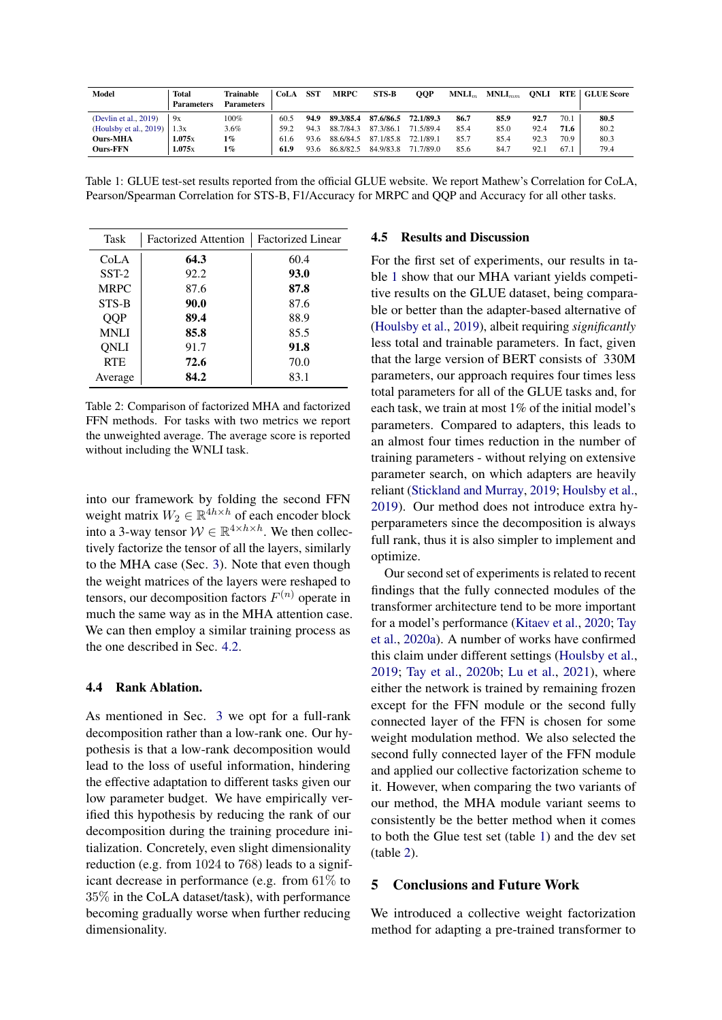<span id="page-5-1"></span>

| Model                  | <b>Total</b><br><b>Parameters</b> | Trainable<br>Parameters | CoLA | <b>SST</b> | <b>MRPC</b> | STS-B     | <b>OOP</b> | $MNLI_m$ | $MNLI_{mm}$ | ONLI | <b>RTE</b> | <b>GLUE Score</b> |
|------------------------|-----------------------------------|-------------------------|------|------------|-------------|-----------|------------|----------|-------------|------|------------|-------------------|
| (Devlin et al., 2019)  | 9x                                | 100%                    | 60.5 | 94.9       | 89.3/85.4   | 87.6/86.5 | 72.1/89.3  | 86.7     | 85.9        | 92.7 | 70.1       | 80.5              |
| (Houlsby et al., 2019) | 1.3x                              | 3.6%                    | 59.2 | 943        | 88.7/84.3   | 87.3/86.1 | 71.5/89.4  | 85.4     | 85.0        | 92.4 | 71.6       | 80.2              |
| <b>Ours-MHA</b>        | 1.075x                            | 1%                      | 61.6 | 93.6       | 88.6/84.5   | 87.1/85.8 | 72.1/89.1  | 85.7     | 85.4        | 92.3 | 70.9       | 80.3              |
| <b>Ours-FFN</b>        | 1.075x                            | $1\%$                   | 61.9 | 93.6       | 86.8/82.5   | 84.9/83.8 | 71.7/89.0  | 85.6     | 84.7        | 92.1 | 67.1       | 79.4              |

Table 1: GLUE test-set results reported from the official GLUE website. We report Mathew's Correlation for CoLA, Pearson/Spearman Correlation for STS-B, F1/Accuracy for MRPC and QQP and Accuracy for all other tasks.

<span id="page-5-2"></span>

| Task       | <b>Factorized Attention</b> | <b>Factorized Linear</b> |
|------------|-----------------------------|--------------------------|
| CoLA       | 64.3                        | 60.4                     |
| $SST-2$    | 92.2                        | 93.0                     |
| MRPC       | 87.6                        | 87.8                     |
| STS-B      | 90.0                        | 87.6                     |
| <b>OOP</b> | 89.4                        | 88.9                     |
| MNLI       | 85.8                        | 85.5                     |
| ONLI       | 91.7                        | 91.8                     |
| <b>RTE</b> | 72.6                        | 70.0                     |
| Average    | 84.2                        | 83.1                     |

Table 2: Comparison of factorized MHA and factorized FFN methods. For tasks with two metrics we report the unweighted average. The average score is reported without including the WNLI task.

into our framework by folding the second FFN weight matrix  $W_2 \in \mathbb{R}^{\frac{4h \times h}{4} }$  of each encoder block into a 3-way tensor  $W \in \mathbb{R}^{4 \times h \times h}$ . We then collectively factorize the tensor of all the layers, similarly to the MHA case (Sec. [3\)](#page-2-0). Note that even though the weight matrices of the layers were reshaped to tensors, our decomposition factors  $F^{(n)}$  operate in much the same way as in the MHA attention case. We can then employ a similar training process as the one described in Sec. [4.2.](#page-4-2)

### 4.4 Rank Ablation.

As mentioned in Sec. [3](#page-2-0) we opt for a full-rank decomposition rather than a low-rank one. Our hypothesis is that a low-rank decomposition would lead to the loss of useful information, hindering the effective adaptation to different tasks given our low parameter budget. We have empirically verified this hypothesis by reducing the rank of our decomposition during the training procedure initialization. Concretely, even slight dimensionality reduction (e.g. from 1024 to 768) leads to a significant decrease in performance (e.g. from 61% to 35% in the CoLA dataset/task), with performance becoming gradually worse when further reducing dimensionality.

#### 4.5 Results and Discussion

For the first set of experiments, our results in table [1](#page-5-1) show that our MHA variant yields competitive results on the GLUE dataset, being comparable or better than the adapter-based alternative of [\(Houlsby et al.,](#page-6-2) [2019\)](#page-6-2), albeit requiring *significantly* less total and trainable parameters. In fact, given that the large version of BERT consists of 330M parameters, our approach requires four times less total parameters for all of the GLUE tasks and, for each task, we train at most 1% of the initial model's parameters. Compared to adapters, this leads to an almost four times reduction in the number of training parameters - without relying on extensive parameter search, on which adapters are heavily reliant [\(Stickland and Murray,](#page-7-9) [2019;](#page-7-9) [Houlsby et al.,](#page-6-2) [2019\)](#page-6-2). Our method does not introduce extra hyperparameters since the decomposition is always full rank, thus it is also simpler to implement and optimize.

Our second set of experiments is related to recent findings that the fully connected modules of the transformer architecture tend to be more important for a model's performance [\(Kitaev et al.,](#page-6-12) [2020;](#page-6-12) [Tay](#page-7-23) [et al.,](#page-7-23) [2020a\)](#page-7-23). A number of works have confirmed this claim under different settings [\(Houlsby et al.,](#page-6-2) [2019;](#page-6-2) [Tay et al.,](#page-7-8) [2020b;](#page-7-8) [Lu et al.,](#page-7-7) [2021\)](#page-7-7), where either the network is trained by remaining frozen except for the FFN module or the second fully connected layer of the FFN is chosen for some weight modulation method. We also selected the second fully connected layer of the FFN module and applied our collective factorization scheme to it. However, when comparing the two variants of our method, the MHA module variant seems to consistently be the better method when it comes to both the Glue test set (table [1\)](#page-5-1) and the dev set (table [2\)](#page-5-2).

# <span id="page-5-0"></span>5 Conclusions and Future Work

We introduced a collective weight factorization method for adapting a pre-trained transformer to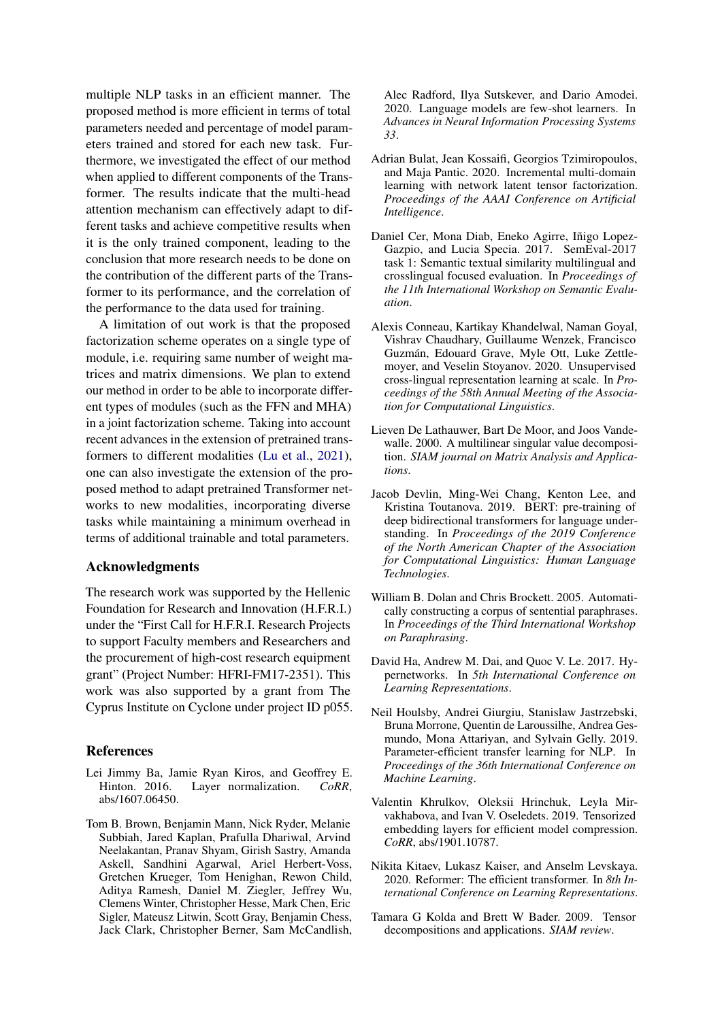multiple NLP tasks in an efficient manner. The proposed method is more efficient in terms of total parameters needed and percentage of model parameters trained and stored for each new task. Furthermore, we investigated the effect of our method when applied to different components of the Transformer. The results indicate that the multi-head attention mechanism can effectively adapt to different tasks and achieve competitive results when it is the only trained component, leading to the conclusion that more research needs to be done on the contribution of the different parts of the Transformer to its performance, and the correlation of the performance to the data used for training.

A limitation of out work is that the proposed factorization scheme operates on a single type of module, i.e. requiring same number of weight matrices and matrix dimensions. We plan to extend our method in order to be able to incorporate different types of modules (such as the FFN and MHA) in a joint factorization scheme. Taking into account recent advances in the extension of pretrained transformers to different modalities [\(Lu et al.,](#page-7-7) [2021\)](#page-7-7), one can also investigate the extension of the proposed method to adapt pretrained Transformer networks to new modalities, incorporating diverse tasks while maintaining a minimum overhead in terms of additional trainable and total parameters.

#### Acknowledgments

The research work was supported by the Hellenic Foundation for Research and Innovation (H.F.R.I.) under the "First Call for H.F.R.I. Research Projects to support Faculty members and Researchers and the procurement of high-cost research equipment grant" (Project Number: HFRI-FM17-2351). This work was also supported by a grant from The Cyprus Institute on Cyclone under project ID p055.

### References

- <span id="page-6-9"></span>Lei Jimmy Ba, Jamie Ryan Kiros, and Geoffrey E.<br>Hinton. 2016. Layer normalization. CoRR, Layer normalization. *CoRR*, abs/1607.06450.
- <span id="page-6-1"></span>Tom B. Brown, Benjamin Mann, Nick Ryder, Melanie Subbiah, Jared Kaplan, Prafulla Dhariwal, Arvind Neelakantan, Pranav Shyam, Girish Sastry, Amanda Askell, Sandhini Agarwal, Ariel Herbert-Voss, Gretchen Krueger, Tom Henighan, Rewon Child, Aditya Ramesh, Daniel M. Ziegler, Jeffrey Wu, Clemens Winter, Christopher Hesse, Mark Chen, Eric Sigler, Mateusz Litwin, Scott Gray, Benjamin Chess, Jack Clark, Christopher Berner, Sam McCandlish,

Alec Radford, Ilya Sutskever, and Dario Amodei. 2020. Language models are few-shot learners. In *Advances in Neural Information Processing Systems 33*.

- <span id="page-6-5"></span>Adrian Bulat, Jean Kossaifi, Georgios Tzimiropoulos, and Maja Pantic. 2020. Incremental multi-domain learning with network latent tensor factorization. *Proceedings of the AAAI Conference on Artificial Intelligence*.
- <span id="page-6-11"></span>Daniel Cer, Mona Diab, Eneko Agirre, Iñigo Lopez-Gazpio, and Lucia Specia. 2017. SemEval-2017 task 1: Semantic textual similarity multilingual and crosslingual focused evaluation. In *Proceedings of the 11th International Workshop on Semantic Evaluation*.
- <span id="page-6-3"></span>Alexis Conneau, Kartikay Khandelwal, Naman Goyal, Vishrav Chaudhary, Guillaume Wenzek, Francisco Guzmán, Edouard Grave, Myle Ott, Luke Zettlemoyer, and Veselin Stoyanov. 2020. Unsupervised cross-lingual representation learning at scale. In *Proceedings of the 58th Annual Meeting of the Association for Computational Linguistics*.
- <span id="page-6-7"></span>Lieven De Lathauwer, Bart De Moor, and Joos Vandewalle. 2000. A multilinear singular value decomposition. *SIAM journal on Matrix Analysis and Applications*.
- <span id="page-6-0"></span>Jacob Devlin, Ming-Wei Chang, Kenton Lee, and Kristina Toutanova. 2019. BERT: pre-training of deep bidirectional transformers for language understanding. In *Proceedings of the 2019 Conference of the North American Chapter of the Association for Computational Linguistics: Human Language Technologies*.
- <span id="page-6-10"></span>William B. Dolan and Chris Brockett. 2005. Automatically constructing a corpus of sentential paraphrases. In *Proceedings of the Third International Workshop on Paraphrasing*.
- <span id="page-6-4"></span>David Ha, Andrew M. Dai, and Quoc V. Le. 2017. Hypernetworks. In *5th International Conference on Learning Representations*.
- <span id="page-6-2"></span>Neil Houlsby, Andrei Giurgiu, Stanislaw Jastrzebski, Bruna Morrone, Quentin de Laroussilhe, Andrea Gesmundo, Mona Attariyan, and Sylvain Gelly. 2019. Parameter-efficient transfer learning for NLP. In *Proceedings of the 36th International Conference on Machine Learning*.
- <span id="page-6-6"></span>Valentin Khrulkov, Oleksii Hrinchuk, Leyla Mirvakhabova, and Ivan V. Oseledets. 2019. Tensorized embedding layers for efficient model compression. *CoRR*, abs/1901.10787.
- <span id="page-6-12"></span>Nikita Kitaev, Lukasz Kaiser, and Anselm Levskaya. 2020. Reformer: The efficient transformer. In *8th International Conference on Learning Representations*.
- <span id="page-6-8"></span>Tamara G Kolda and Brett W Bader. 2009. Tensor decompositions and applications. *SIAM review*.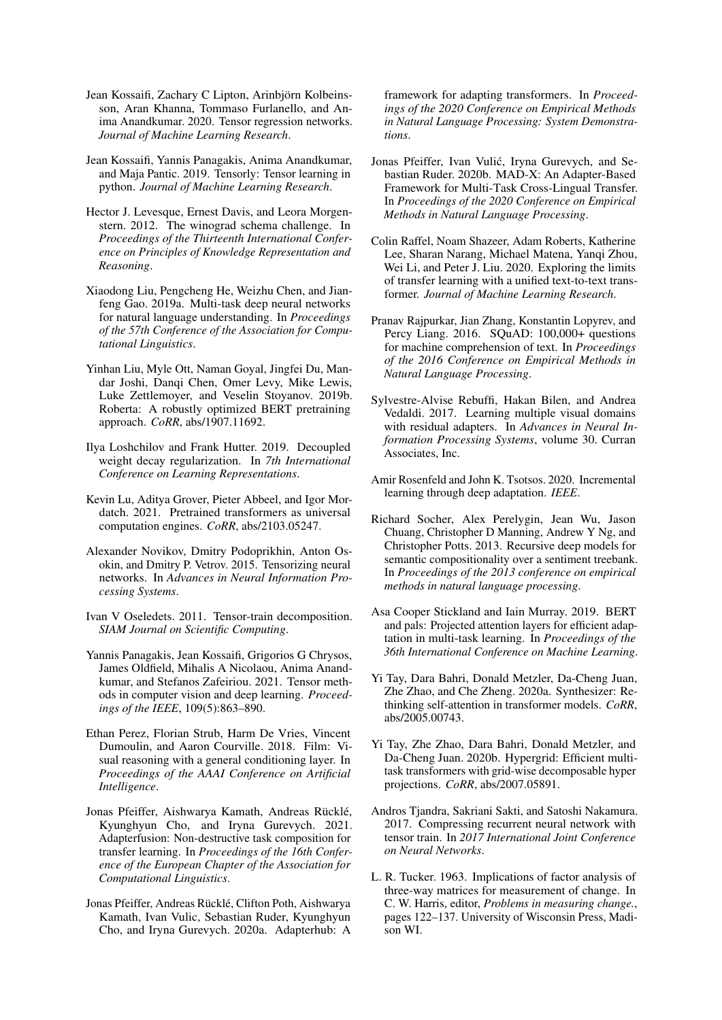- <span id="page-7-17"></span>Jean Kossaifi, Zachary C Lipton, Arinbjörn Kolbeinsson, Aran Khanna, Tommaso Furlanello, and Anima Anandkumar. 2020. Tensor regression networks. *Journal of Machine Learning Research*.
- <span id="page-7-18"></span>Jean Kossaifi, Yannis Panagakis, Anima Anandkumar, and Maja Pantic. 2019. Tensorly: Tensor learning in python. *Journal of Machine Learning Research*.
- <span id="page-7-21"></span>Hector J. Levesque, Ernest Davis, and Leora Morgenstern. 2012. The winograd schema challenge. In *Proceedings of the Thirteenth International Conference on Principles of Knowledge Representation and Reasoning*.
- <span id="page-7-2"></span>Xiaodong Liu, Pengcheng He, Weizhu Chen, and Jianfeng Gao. 2019a. Multi-task deep neural networks for natural language understanding. In *Proceedings of the 57th Conference of the Association for Computational Linguistics*.
- <span id="page-7-0"></span>Yinhan Liu, Myle Ott, Naman Goyal, Jingfei Du, Mandar Joshi, Danqi Chen, Omer Levy, Mike Lewis, Luke Zettlemoyer, and Veselin Stoyanov. 2019b. Roberta: A robustly optimized BERT pretraining approach. *CoRR*, abs/1907.11692.
- <span id="page-7-22"></span>Ilya Loshchilov and Frank Hutter. 2019. Decoupled weight decay regularization. In *7th International Conference on Learning Representations*.
- <span id="page-7-7"></span>Kevin Lu, Aditya Grover, Pieter Abbeel, and Igor Mordatch. 2021. Pretrained transformers as universal computation engines. *CoRR*, abs/2103.05247.
- <span id="page-7-14"></span>Alexander Novikov, Dmitry Podoprikhin, Anton Osokin, and Dmitry P. Vetrov. 2015. Tensorizing neural networks. In *Advances in Neural Information Processing Systems*.
- <span id="page-7-15"></span>Ivan V Oseledets. 2011. Tensor-train decomposition. *SIAM Journal on Scientific Computing*.
- <span id="page-7-13"></span>Yannis Panagakis, Jean Kossaifi, Grigorios G Chrysos, James Oldfield, Mihalis A Nicolaou, Anima Anandkumar, and Stefanos Zafeiriou. 2021. Tensor methods in computer vision and deep learning. *Proceedings of the IEEE*, 109(5):863–890.
- <span id="page-7-12"></span>Ethan Perez, Florian Strub, Harm De Vries, Vincent Dumoulin, and Aaron Courville. 2018. Film: Visual reasoning with a general conditioning layer. In *Proceedings of the AAAI Conference on Artificial Intelligence*.
- <span id="page-7-11"></span>Jonas Pfeiffer, Aishwarya Kamath, Andreas Rücklé, Kyunghyun Cho, and Iryna Gurevych. 2021. Adapterfusion: Non-destructive task composition for transfer learning. In *Proceedings of the 16th Conference of the European Chapter of the Association for Computational Linguistics*.
- <span id="page-7-5"></span>Jonas Pfeiffer, Andreas Rücklé, Clifton Poth, Aishwarya Kamath, Ivan Vulic, Sebastian Ruder, Kyunghyun Cho, and Iryna Gurevych. 2020a. Adapterhub: A

framework for adapting transformers. In *Proceedings of the 2020 Conference on Empirical Methods in Natural Language Processing: System Demonstrations*.

- <span id="page-7-10"></span>Jonas Pfeiffer, Ivan Vulic, Iryna Gurevych, and Se- ´ bastian Ruder. 2020b. MAD-X: An Adapter-Based Framework for Multi-Task Cross-Lingual Transfer. In *Proceedings of the 2020 Conference on Empirical Methods in Natural Language Processing*.
- <span id="page-7-1"></span>Colin Raffel, Noam Shazeer, Adam Roberts, Katherine Lee, Sharan Narang, Michael Matena, Yanqi Zhou, Wei Li, and Peter J. Liu. 2020. Exploring the limits of transfer learning with a unified text-to-text transformer. *Journal of Machine Learning Research*.
- <span id="page-7-20"></span>Pranav Rajpurkar, Jian Zhang, Konstantin Lopyrev, and Percy Liang. 2016. SQuAD: 100,000+ questions for machine comprehension of text. In *Proceedings of the 2016 Conference on Empirical Methods in Natural Language Processing*.
- <span id="page-7-4"></span>Sylvestre-Alvise Rebuffi, Hakan Bilen, and Andrea Vedaldi. 2017. Learning multiple visual domains with residual adapters. In *Advances in Neural Information Processing Systems*, volume 30. Curran Associates, Inc.
- <span id="page-7-3"></span>Amir Rosenfeld and John K. Tsotsos. 2020. Incremental learning through deep adaptation. *IEEE*.
- <span id="page-7-19"></span>Richard Socher, Alex Perelygin, Jean Wu, Jason Chuang, Christopher D Manning, Andrew Y Ng, and Christopher Potts. 2013. Recursive deep models for semantic compositionality over a sentiment treebank. In *Proceedings of the 2013 conference on empirical methods in natural language processing*.
- <span id="page-7-9"></span>Asa Cooper Stickland and Iain Murray. 2019. BERT and pals: Projected attention layers for efficient adaptation in multi-task learning. In *Proceedings of the 36th International Conference on Machine Learning*.
- <span id="page-7-23"></span>Yi Tay, Dara Bahri, Donald Metzler, Da-Cheng Juan, Zhe Zhao, and Che Zheng. 2020a. Synthesizer: Rethinking self-attention in transformer models. *CoRR*, abs/2005.00743.
- <span id="page-7-8"></span>Yi Tay, Zhe Zhao, Dara Bahri, Donald Metzler, and Da-Cheng Juan. 2020b. Hypergrid: Efficient multitask transformers with grid-wise decomposable hyper projections. *CoRR*, abs/2007.05891.
- <span id="page-7-16"></span>Andros Tjandra, Sakriani Sakti, and Satoshi Nakamura. 2017. Compressing recurrent neural network with tensor train. In *2017 International Joint Conference on Neural Networks*.
- <span id="page-7-6"></span>L. R. Tucker. 1963. Implications of factor analysis of three-way matrices for measurement of change. In C. W. Harris, editor, *Problems in measuring change.*, pages 122–137. University of Wisconsin Press, Madison WI.